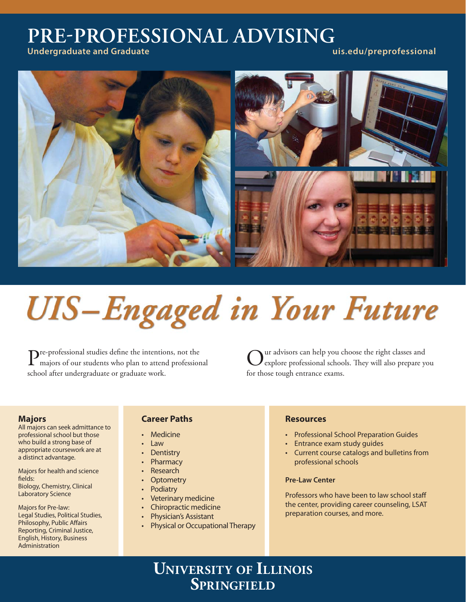## **PREPROFESSIONAL ADVISING**

**Undergraduate and Graduate uis.edu/preprofessional**



# **UIS-Engaged in Your Future**

Pre-professional studies define the intentions, not the majors of our students who plan to attend professional school after undergraduate or graduate work.

Our advisors can help you choose the right classes and<br>explore professional schools. They will also prepare you for those tough entrance exams.

## **Majors**

All majors can seek admittance to professional school but those who build a strong base of appropriate coursework are at a distinct advantage.

Majors for health and science fields: Biology, Chemistry, Clinical Laboratory Science

Majors for Pre-law: Legal Studies, Political Studies, Philosophy, Public Affairs Reporting, Criminal Justice, English, History, Business Administration

## **Career Paths**

- **Medicine**
- Law
- **Dentistry**
- **Pharmacy**
- **Research**
- **Optometry**
- **Podiatry**
- Veterinary medicine
- Chiropractic medicine
- Physician's Assistant
- Physical or Occupational Therapy

## **Resources**

- Professional School Preparation Guides
- Entrance exam study guides
- Current course catalogs and bulletins from professional schools

## **Pre-Law Center**

Professors who have been to law school staff the center, providing career counseling, LSAT preparation courses, and more.

## **UNIVERSITY OF ILLINOIS SPRINGFIELD**